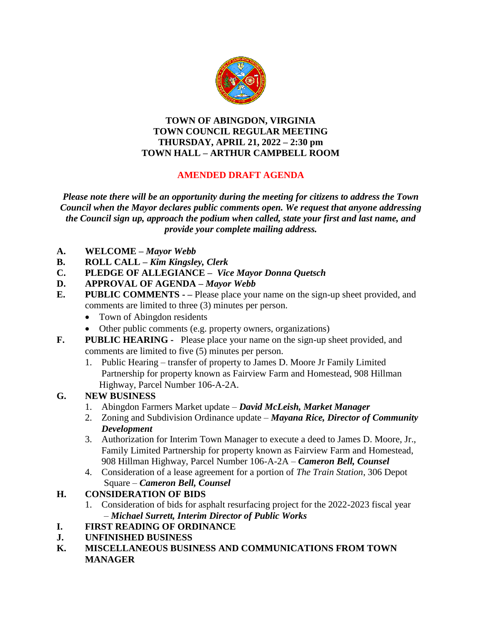

#### **TOWN OF ABINGDON, VIRGINIA TOWN COUNCIL REGULAR MEETING THURSDAY, APRIL 21, 2022 – 2:30 pm TOWN HALL – ARTHUR CAMPBELL ROOM**

# **AMENDED DRAFT AGENDA**

*Please note there will be an opportunity during the meeting for citizens to address the Town Council when the Mayor declares public comments open. We request that anyone addressing the Council sign up, approach the podium when called, state your first and last name, and provide your complete mailing address.*

- **A. WELCOME –** *Mayor Webb*
- **B. ROLL CALL –** *Kim Kingsley, Clerk*
- **C. PLEDGE OF ALLEGIANCE –** *Vice Mayor Donna Quetsch*
- **D. APPROVAL OF AGENDA –** *Mayor Webb*
- **E. PUBLIC COMMENTS - –** Please place your name on the sign-up sheet provided, and comments are limited to three (3) minutes per person.
	- Town of Abingdon residents
	- Other public comments (e.g. property owners, organizations)
- **F. PUBLIC HEARING** Please place your name on the sign-up sheet provided, and comments are limited to five (5) minutes per person.
	- 1. Public Hearing transfer of property to James D. Moore Jr Family Limited Partnership for property known as Fairview Farm and Homestead, 908 Hillman Highway, Parcel Number 106-A-2A.

### **G. NEW BUSINESS**

- 1. Abingdon Farmers Market update *David McLeish, Market Manager*
- 2. Zoning and Subdivision Ordinance update *Mayana Rice, Director of Community Development*
- 3. Authorization for Interim Town Manager to execute a deed to James D. Moore, Jr., Family Limited Partnership for property known as Fairview Farm and Homestead, 908 Hillman Highway, Parcel Number 106-A-2A – *Cameron Bell, Counsel*
- 4. Consideration of a lease agreement for a portion of *The Train Station*, 306 Depot Square – *Cameron Bell, Counsel*

# **H. CONSIDERATION OF BIDS**

1.Consideration of bids for asphalt resurfacing project for the 2022-2023 fiscal year – *Michael Surrett, Interim Director of Public Works*

### **I. FIRST READING OF ORDINANCE**

- **J. UNFINISHED BUSINESS**
- **K. MISCELLANEOUS BUSINESS AND COMMUNICATIONS FROM TOWN MANAGER**